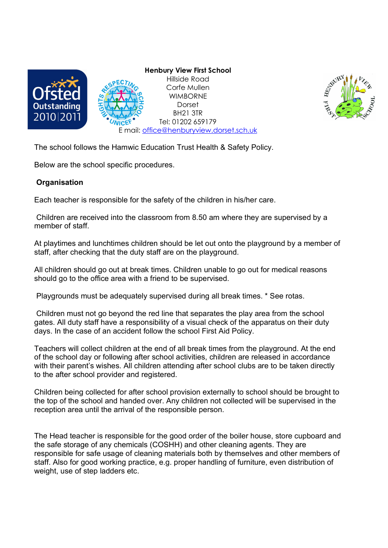



The school follows the Hamwic Education Trust Health & Safety Policy.

Below are the school specific procedures.

# **Organisation**

Each teacher is responsible for the safety of the children in his/her care.

 Children are received into the classroom from 8.50 am where they are supervised by a member of staff.

At playtimes and lunchtimes children should be let out onto the playground by a member of staff, after checking that the duty staff are on the playground.

All children should go out at break times. Children unable to go out for medical reasons should go to the office area with a friend to be supervised.

Playgrounds must be adequately supervised during all break times. \* See rotas.

 Children must not go beyond the red line that separates the play area from the school gates. All duty staff have a responsibility of a visual check of the apparatus on their duty days. In the case of an accident follow the school First Aid Policy.

Teachers will collect children at the end of all break times from the playground. At the end of the school day or following after school activities, children are released in accordance with their parent's wishes. All children attending after school clubs are to be taken directly to the after school provider and registered.

Children being collected for after school provision externally to school should be brought to the top of the school and handed over. Any children not collected will be supervised in the reception area until the arrival of the responsible person.

The Head teacher is responsible for the good order of the boiler house, store cupboard and the safe storage of any chemicals (COSHH) and other cleaning agents. They are responsible for safe usage of cleaning materials both by themselves and other members of staff. Also for good working practice, e.g. proper handling of furniture, even distribution of weight, use of step ladders etc.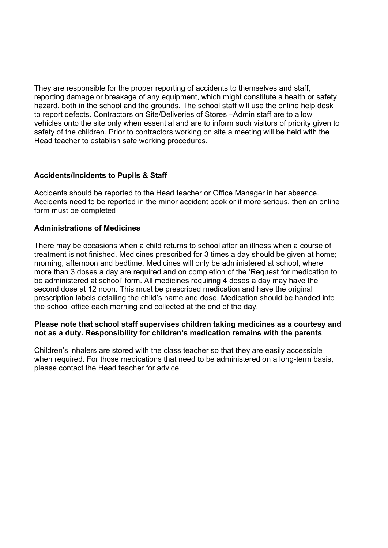They are responsible for the proper reporting of accidents to themselves and staff, reporting damage or breakage of any equipment, which might constitute a health or safety hazard, both in the school and the grounds. The school staff will use the online help desk to report defects. Contractors on Site/Deliveries of Stores –Admin staff are to allow vehicles onto the site only when essential and are to inform such visitors of priority given to safety of the children. Prior to contractors working on site a meeting will be held with the Head teacher to establish safe working procedures.

# Accidents/Incidents to Pupils & Staff

Accidents should be reported to the Head teacher or Office Manager in her absence. Accidents need to be reported in the minor accident book or if more serious, then an online form must be completed

# Administrations of Medicines

There may be occasions when a child returns to school after an illness when a course of treatment is not finished. Medicines prescribed for 3 times a day should be given at home; morning, afternoon and bedtime. Medicines will only be administered at school, where more than 3 doses a day are required and on completion of the 'Request for medication to be administered at school' form. All medicines requiring 4 doses a day may have the second dose at 12 noon. This must be prescribed medication and have the original prescription labels detailing the child's name and dose. Medication should be handed into the school office each morning and collected at the end of the day.

## Please note that school staff supervises children taking medicines as a courtesy and not as a duty. Responsibility for children's medication remains with the parents.

Children's inhalers are stored with the class teacher so that they are easily accessible when required. For those medications that need to be administered on a long-term basis, please contact the Head teacher for advice.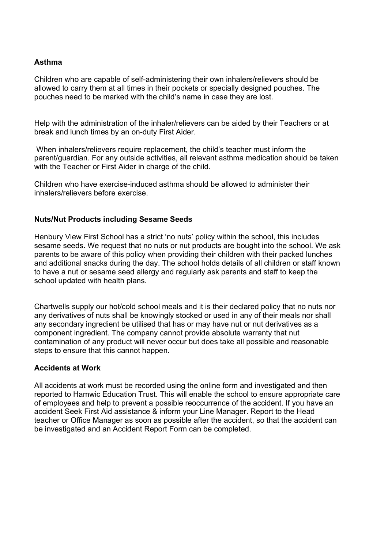# Asthma

Children who are capable of self-administering their own inhalers/relievers should be allowed to carry them at all times in their pockets or specially designed pouches. The pouches need to be marked with the child's name in case they are lost.

Help with the administration of the inhaler/relievers can be aided by their Teachers or at break and lunch times by an on-duty First Aider.

 When inhalers/relievers require replacement, the child's teacher must inform the parent/guardian. For any outside activities, all relevant asthma medication should be taken with the Teacher or First Aider in charge of the child.

Children who have exercise-induced asthma should be allowed to administer their inhalers/relievers before exercise.

## Nuts/Nut Products including Sesame Seeds

Henbury View First School has a strict 'no nuts' policy within the school, this includes sesame seeds. We request that no nuts or nut products are bought into the school. We ask parents to be aware of this policy when providing their children with their packed lunches and additional snacks during the day. The school holds details of all children or staff known to have a nut or sesame seed allergy and regularly ask parents and staff to keep the school updated with health plans.

Chartwells supply our hot/cold school meals and it is their declared policy that no nuts nor any derivatives of nuts shall be knowingly stocked or used in any of their meals nor shall any secondary ingredient be utilised that has or may have nut or nut derivatives as a component ingredient. The company cannot provide absolute warranty that nut contamination of any product will never occur but does take all possible and reasonable steps to ensure that this cannot happen.

#### Accidents at Work

All accidents at work must be recorded using the online form and investigated and then reported to Hamwic Education Trust. This will enable the school to ensure appropriate care of employees and help to prevent a possible reoccurrence of the accident. If you have an accident Seek First Aid assistance & inform your Line Manager. Report to the Head teacher or Office Manager as soon as possible after the accident, so that the accident can be investigated and an Accident Report Form can be completed.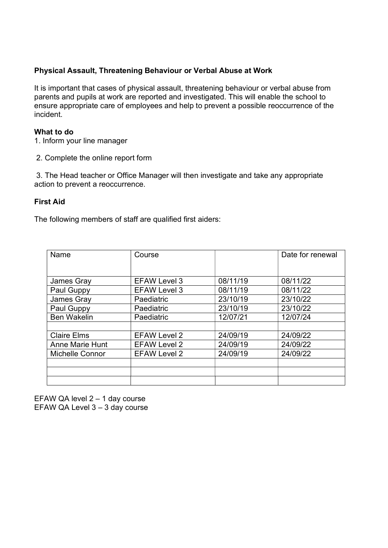# Physical Assault, Threatening Behaviour or Verbal Abuse at Work

It is important that cases of physical assault, threatening behaviour or verbal abuse from parents and pupils at work are reported and investigated. This will enable the school to ensure appropriate care of employees and help to prevent a possible reoccurrence of the incident.

## What to do

1. Inform your line manager

2. Complete the online report form

 3. The Head teacher or Office Manager will then investigate and take any appropriate action to prevent a reoccurrence.

## First Aid

The following members of staff are qualified first aiders:

| Name                   | Course              |          | Date for renewal |
|------------------------|---------------------|----------|------------------|
| James Gray             | <b>EFAW Level 3</b> | 08/11/19 | 08/11/22         |
| Paul Guppy             | <b>EFAW Level 3</b> | 08/11/19 | 08/11/22         |
| James Gray             | Paediatric          | 23/10/19 | 23/10/22         |
| Paul Guppy             | Paediatric          | 23/10/19 | 23/10/22         |
| <b>Ben Wakelin</b>     | Paediatric          | 12/07/21 | 12/07/24         |
|                        |                     |          |                  |
| <b>Claire Elms</b>     | <b>EFAW Level 2</b> | 24/09/19 | 24/09/22         |
| <b>Anne Marie Hunt</b> | <b>EFAW Level 2</b> | 24/09/19 | 24/09/22         |
| <b>Michelle Connor</b> | <b>EFAW Level 2</b> | 24/09/19 | 24/09/22         |
|                        |                     |          |                  |
|                        |                     |          |                  |
|                        |                     |          |                  |

EFAW QA level 2 – 1 day course EFAW QA Level 3 – 3 day course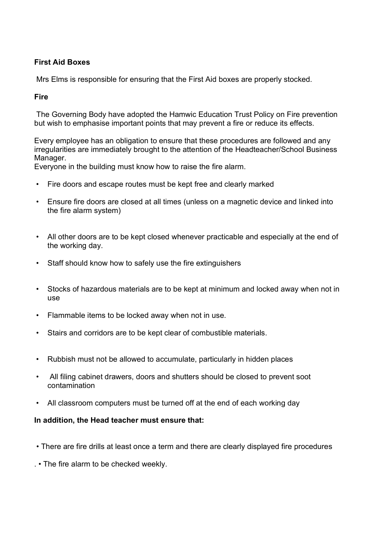# First Aid Boxes

Mrs Elms is responsible for ensuring that the First Aid boxes are properly stocked.

## Fire

 The Governing Body have adopted the Hamwic Education Trust Policy on Fire prevention but wish to emphasise important points that may prevent a fire or reduce its effects.

Every employee has an obligation to ensure that these procedures are followed and any irregularities are immediately brought to the attention of the Headteacher/School Business Manager.

Everyone in the building must know how to raise the fire alarm.

- Fire doors and escape routes must be kept free and clearly marked
- Ensure fire doors are closed at all times (unless on a magnetic device and linked into the fire alarm system)
- All other doors are to be kept closed whenever practicable and especially at the end of the working day.
- Staff should know how to safely use the fire extinguishers
- Stocks of hazardous materials are to be kept at minimum and locked away when not in use
- Flammable items to be locked away when not in use.
- Stairs and corridors are to be kept clear of combustible materials.
- Rubbish must not be allowed to accumulate, particularly in hidden places
- All filing cabinet drawers, doors and shutters should be closed to prevent soot contamination
- All classroom computers must be turned off at the end of each working day

#### In addition, the Head teacher must ensure that:

- There are fire drills at least once a term and there are clearly displayed fire procedures
- . The fire alarm to be checked weekly.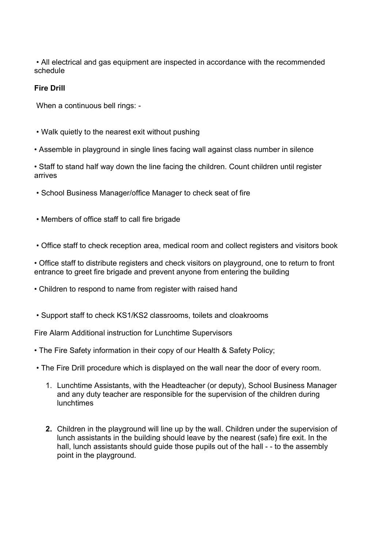• All electrical and gas equipment are inspected in accordance with the recommended schedule

# Fire Drill

When a continuous bell rings: -

- Walk quietly to the nearest exit without pushing
- Assemble in playground in single lines facing wall against class number in silence

• Staff to stand half way down the line facing the children. Count children until register arrives

- School Business Manager/office Manager to check seat of fire
- Members of office staff to call fire brigade
- Office staff to check reception area, medical room and collect registers and visitors book

• Office staff to distribute registers and check visitors on playground, one to return to front entrance to greet fire brigade and prevent anyone from entering the building

- Children to respond to name from register with raised hand
- Support staff to check KS1/KS2 classrooms, toilets and cloakrooms

Fire Alarm Additional instruction for Lunchtime Supervisors

- The Fire Safety information in their copy of our Health & Safety Policy;
- The Fire Drill procedure which is displayed on the wall near the door of every room.
	- 1. Lunchtime Assistants, with the Headteacher (or deputy), School Business Manager and any duty teacher are responsible for the supervision of the children during lunchtimes
	- 2. Children in the playground will line up by the wall. Children under the supervision of lunch assistants in the building should leave by the nearest (safe) fire exit. In the hall, lunch assistants should guide those pupils out of the hall - - to the assembly point in the playground.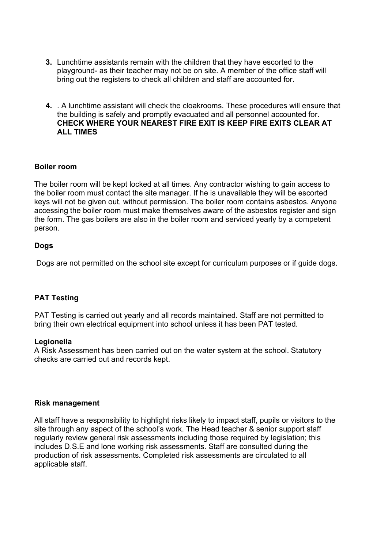- 3. Lunchtime assistants remain with the children that they have escorted to the playground- as their teacher may not be on site. A member of the office staff will bring out the registers to check all children and staff are accounted for.
- 4. . A lunchtime assistant will check the cloakrooms. These procedures will ensure that the building is safely and promptly evacuated and all personnel accounted for. CHECK WHERE YOUR NEAREST FIRE EXIT IS KEEP FIRE EXITS CLEAR AT ALL TIMES

## Boiler room

The boiler room will be kept locked at all times. Any contractor wishing to gain access to the boiler room must contact the site manager. If he is unavailable they will be escorted keys will not be given out, without permission. The boiler room contains asbestos. Anyone accessing the boiler room must make themselves aware of the asbestos register and sign the form. The gas boilers are also in the boiler room and serviced yearly by a competent person.

# Dogs

Dogs are not permitted on the school site except for curriculum purposes or if guide dogs.

# PAT Testing

PAT Testing is carried out yearly and all records maintained. Staff are not permitted to bring their own electrical equipment into school unless it has been PAT tested.

#### Legionella

A Risk Assessment has been carried out on the water system at the school. Statutory checks are carried out and records kept.

#### Risk management

All staff have a responsibility to highlight risks likely to impact staff, pupils or visitors to the site through any aspect of the school's work. The Head teacher & senior support staff regularly review general risk assessments including those required by legislation; this includes D.S.E and lone working risk assessments. Staff are consulted during the production of risk assessments. Completed risk assessments are circulated to all applicable staff.